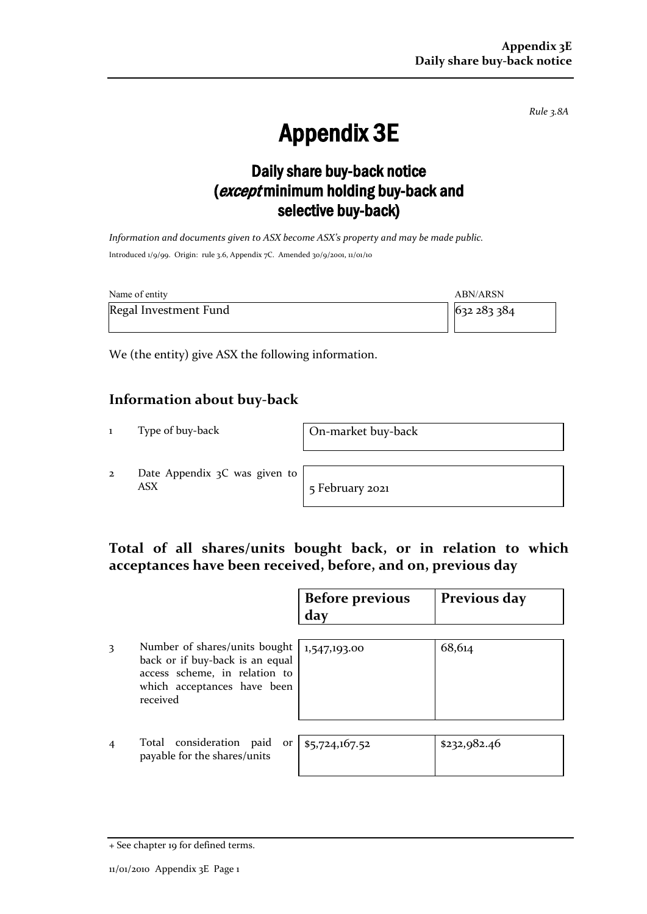*Rule 3.8A*

# Appendix 3E

## Daily share buy-back notice (except minimum holding buy-back and selective buy-back)

*Information and documents given to ASX become ASX's property and may be made public.* Introduced 1/9/99. Origin: rule 3.6, Appendix 7C. Amended 30/9/2001, 11/01/10

| Name of entity        | ABN/ARSN  |  |
|-----------------------|-----------|--|
| Regal Investment Fund | 632283384 |  |

We (the entity) give ASX the following information.

### **Information about buy-back**

1 Type of buy-back On-market buy-back

2 Date Appendix 3C was given to ASX 5 February 2021

### **Total of all shares/units bought back, or in relation to which acceptances have been received, before, and on, previous day**

|                |                                                                                                                                              | <b>Before previous</b><br>day | Previous day |
|----------------|----------------------------------------------------------------------------------------------------------------------------------------------|-------------------------------|--------------|
| 3              | Number of shares/units bought<br>back or if buy-back is an equal<br>access scheme, in relation to<br>which acceptances have been<br>received | 1,547,193.00                  | 68,614       |
| $\overline{4}$ | Total consideration paid<br>or <sub>1</sub><br>payable for the shares/units                                                                  | \$5,724,167.52                | \$232,982.46 |

<sup>+</sup> See chapter 19 for defined terms.